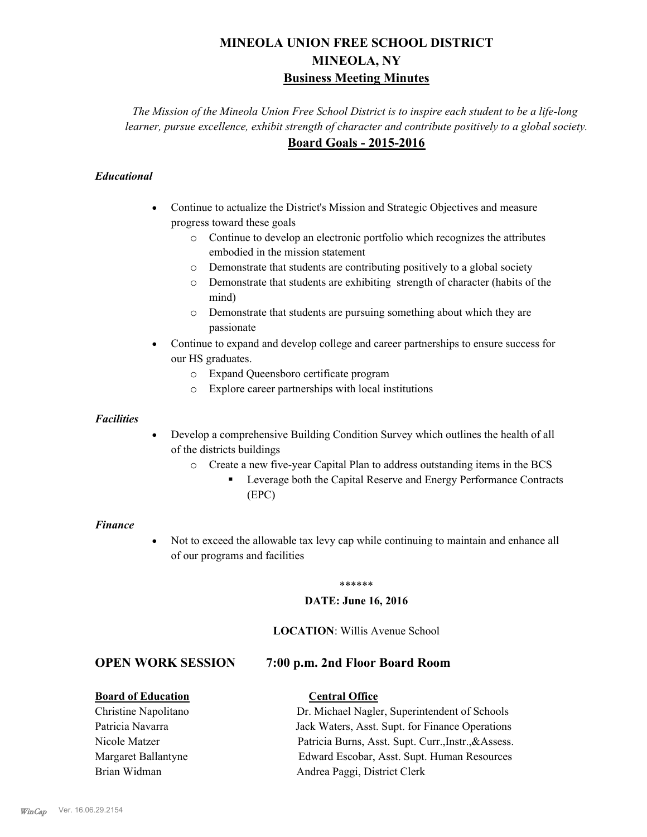# **MINEOLA UNION FREE SCHOOL DISTRICT MINEOLA, NY Business Meeting Minutes**

*The Mission of the Mineola Union Free School District is to inspire each student to be a life-long learner, pursue excellence, exhibit strength of character and contribute positively to a global society.* **Board Goals - 2015-2016**

# *Educational*

- · Continue to actualize the District's Mission and Strategic Objectives and measure progress toward these goals
	- o Continue to develop an electronic portfolio which recognizes the attributes embodied in the mission statement
	- o Demonstrate that students are contributing positively to a global society
	- o Demonstrate that students are exhibiting strength of character (habits of the mind)
	- o Demonstrate that students are pursuing something about which they are passionate
- Continue to expand and develop college and career partnerships to ensure success for our HS graduates.
	- o Expand Queensboro certificate program
	- o Explore career partnerships with local institutions

#### *Facilities*

- Develop a comprehensive Building Condition Survey which outlines the health of all of the districts buildings
	- o Create a new five-year Capital Plan to address outstanding items in the BCS
		- § Leverage both the Capital Reserve and Energy Performance Contracts (EPC)

#### *Finance*

• Not to exceed the allowable tax levy cap while continuing to maintain and enhance all of our programs and facilities

#### \*\*\*\*\*\*

#### **DATE: June 16, 2016**

#### **LOCATION**: Willis Avenue School

# **OPEN WORK SESSION 7:00 p.m. 2nd Floor Board Room**

## **Board of Education Central Office**

Christine Napolitano Dr. Michael Nagler, Superintendent of Schools Patricia Navarra Jack Waters, Asst. Supt. for Finance Operations Nicole Matzer Patricia Burns, Asst. Supt. Curr.,Instr.,&Assess. Margaret Ballantyne Edward Escobar, Asst. Supt. Human Resources Brian Widman **Andrea Paggi, District Clerk**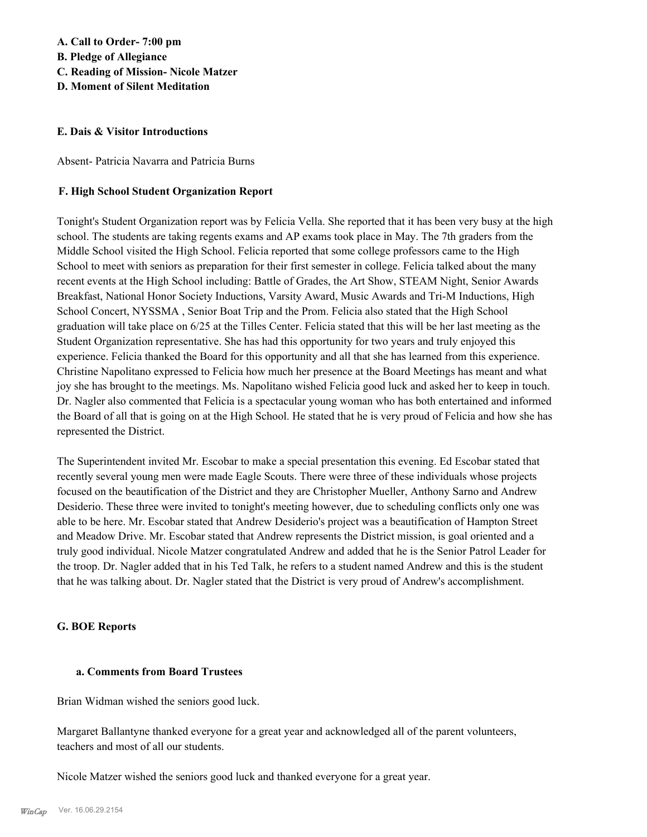# **A. Call to Order- 7:00 pm**

**B. Pledge of Allegiance**

- **C. Reading of Mission- Nicole Matzer**
- **D. Moment of Silent Meditation**

## **E. Dais & Visitor Introductions**

Absent- Patricia Navarra and Patricia Burns

# **F. High School Student Organization Report**

Tonight's Student Organization report was by Felicia Vella. She reported that it has been very busy at the high school. The students are taking regents exams and AP exams took place in May. The 7th graders from the Middle School visited the High School. Felicia reported that some college professors came to the High School to meet with seniors as preparation for their first semester in college. Felicia talked about the many recent events at the High School including: Battle of Grades, the Art Show, STEAM Night, Senior Awards Breakfast, National Honor Society Inductions, Varsity Award, Music Awards and Tri-M Inductions, High School Concert, NYSSMA , Senior Boat Trip and the Prom. Felicia also stated that the High School graduation will take place on 6/25 at the Tilles Center. Felicia stated that this will be her last meeting as the Student Organization representative. She has had this opportunity for two years and truly enjoyed this experience. Felicia thanked the Board for this opportunity and all that she has learned from this experience. Christine Napolitano expressed to Felicia how much her presence at the Board Meetings has meant and what joy she has brought to the meetings. Ms. Napolitano wished Felicia good luck and asked her to keep in touch. Dr. Nagler also commented that Felicia is a spectacular young woman who has both entertained and informed the Board of all that is going on at the High School. He stated that he is very proud of Felicia and how she has represented the District.

The Superintendent invited Mr. Escobar to make a special presentation this evening. Ed Escobar stated that recently several young men were made Eagle Scouts. There were three of these individuals whose projects focused on the beautification of the District and they are Christopher Mueller, Anthony Sarno and Andrew Desiderio. These three were invited to tonight's meeting however, due to scheduling conflicts only one was able to be here. Mr. Escobar stated that Andrew Desiderio's project was a beautification of Hampton Street and Meadow Drive. Mr. Escobar stated that Andrew represents the District mission, is goal oriented and a truly good individual. Nicole Matzer congratulated Andrew and added that he is the Senior Patrol Leader for the troop. Dr. Nagler added that in his Ted Talk, he refers to a student named Andrew and this is the student that he was talking about. Dr. Nagler stated that the District is very proud of Andrew's accomplishment.

## **G. BOE Reports**

## **a. Comments from Board Trustees**

Brian Widman wished the seniors good luck.

Margaret Ballantyne thanked everyone for a great year and acknowledged all of the parent volunteers, teachers and most of all our students.

Nicole Matzer wished the seniors good luck and thanked everyone for a great year.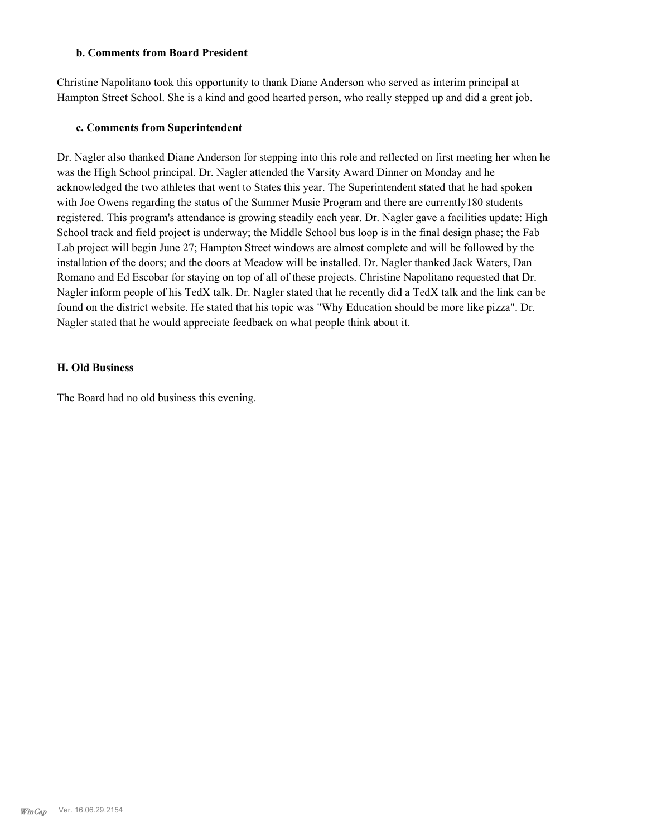#### **b. Comments from Board President**

Christine Napolitano took this opportunity to thank Diane Anderson who served as interim principal at Hampton Street School. She is a kind and good hearted person, who really stepped up and did a great job.

#### **c. Comments from Superintendent**

Dr. Nagler also thanked Diane Anderson for stepping into this role and reflected on first meeting her when he was the High School principal. Dr. Nagler attended the Varsity Award Dinner on Monday and he acknowledged the two athletes that went to States this year. The Superintendent stated that he had spoken with Joe Owens regarding the status of the Summer Music Program and there are currently 180 students registered. This program's attendance is growing steadily each year. Dr. Nagler gave a facilities update: High School track and field project is underway; the Middle School bus loop is in the final design phase; the Fab Lab project will begin June 27; Hampton Street windows are almost complete and will be followed by the installation of the doors; and the doors at Meadow will be installed. Dr. Nagler thanked Jack Waters, Dan Romano and Ed Escobar for staying on top of all of these projects. Christine Napolitano requested that Dr. Nagler inform people of his TedX talk. Dr. Nagler stated that he recently did a TedX talk and the link can be found on the district website. He stated that his topic was "Why Education should be more like pizza". Dr. Nagler stated that he would appreciate feedback on what people think about it.

#### **H. Old Business**

The Board had no old business this evening.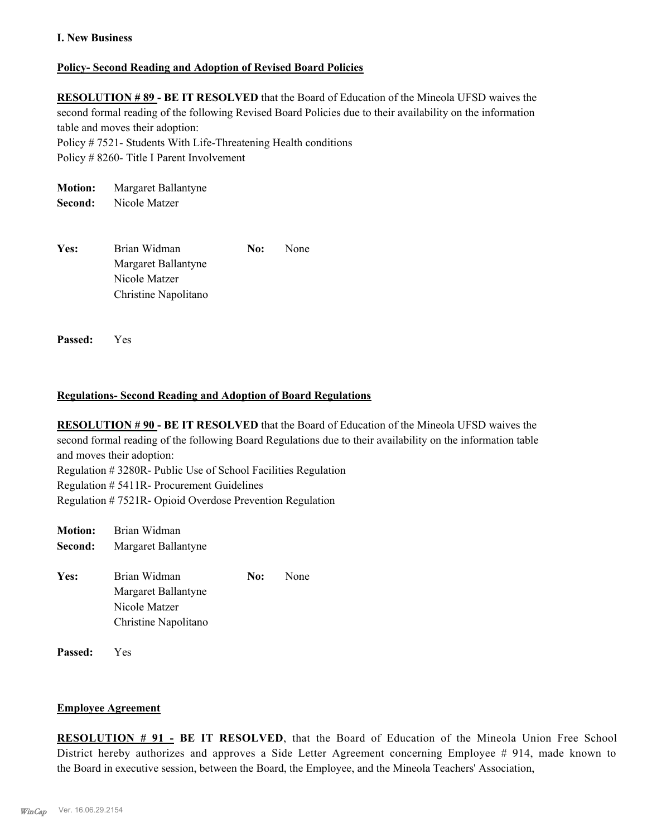## **I. New Business**

#### **Policy- Second Reading and Adoption of Revised Board Policies**

**RESOLUTION # 89 - BE IT RESOLVED** that the Board of Education of the Mineola UFSD waives the second formal reading of the following Revised Board Policies due to their availability on the information table and moves their adoption:

Policy # 7521- Students With Life-Threatening Health conditions

Policy # 8260- Title I Parent Involvement

**Motion:** Margaret Ballantyne **Second:** Nicole Matzer

Yes: Brian Widman **No:** None Margaret Ballantyne Nicole Matzer Christine Napolitano

**Passed:** Yes

## **Regulations- Second Reading and Adoption of Board Regulations**

**RESOLUTION # 90 - BE IT RESOLVED** that the Board of Education of the Mineola UFSD waives the second formal reading of the following Board Regulations due to their availability on the information table and moves their adoption: Regulation # 3280R- Public Use of School Facilities Regulation Regulation # 5411R- Procurement Guidelines Regulation # 7521R- Opioid Overdose Prevention Regulation

| <b>Motion:</b> | Brian Widman                                                                 |     |      |
|----------------|------------------------------------------------------------------------------|-----|------|
| Second:        | Margaret Ballantyne                                                          |     |      |
| Yes:           | Brian Widman<br>Margaret Ballantyne<br>Nicole Matzer<br>Christine Napolitano | No: | None |
| Passed:        | Y es                                                                         |     |      |

#### **Employee Agreement**

**RESOLUTION # 91 - BE IT RESOLVED**, that the Board of Education of the Mineola Union Free School District hereby authorizes and approves a Side Letter Agreement concerning Employee # 914, made known to the Board in executive session, between the Board, the Employee, and the Mineola Teachers' Association,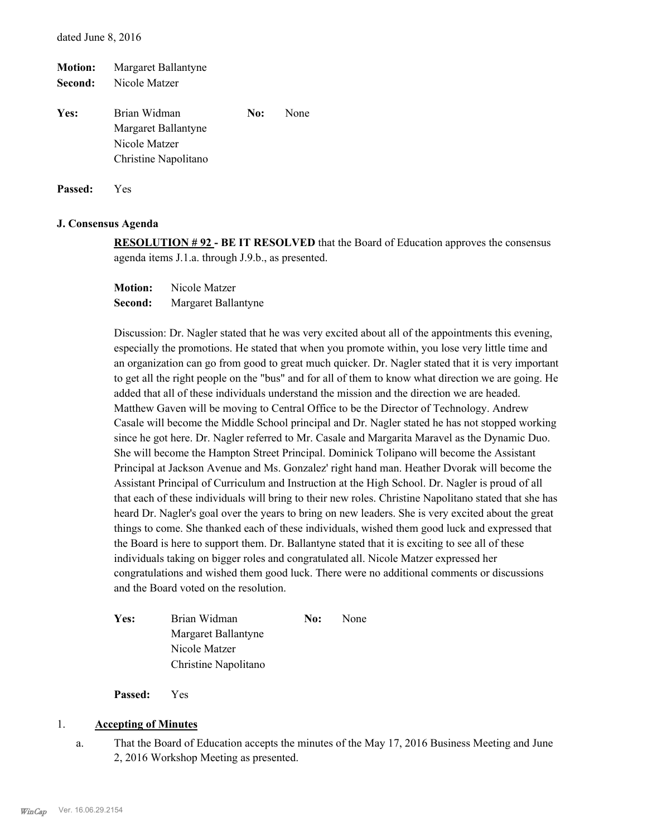| <b>Motion:</b> | Margaret Ballantyne  |     |      |
|----------------|----------------------|-----|------|
| Second:        | Nicole Matzer        |     |      |
| Yes:           | Brian Widman         | No: | None |
|                | Margaret Ballantyne  |     |      |
|                | Nicole Matzer        |     |      |
|                | Christine Napolitano |     |      |
|                |                      |     |      |

**Passed:** Yes

#### **J. Consensus Agenda**

**RESOLUTION # 92 - BE IT RESOLVED** that the Board of Education approves the consensus agenda items J.1.a. through J.9.b., as presented.

**Motion:** Nicole Matzer **Second:** Margaret Ballantyne

Discussion: Dr. Nagler stated that he was very excited about all of the appointments this evening, especially the promotions. He stated that when you promote within, you lose very little time and an organization can go from good to great much quicker. Dr. Nagler stated that it is very important to get all the right people on the "bus" and for all of them to know what direction we are going. He added that all of these individuals understand the mission and the direction we are headed. Matthew Gaven will be moving to Central Office to be the Director of Technology. Andrew Casale will become the Middle School principal and Dr. Nagler stated he has not stopped working since he got here. Dr. Nagler referred to Mr. Casale and Margarita Maravel as the Dynamic Duo. She will become the Hampton Street Principal. Dominick Tolipano will become the Assistant Principal at Jackson Avenue and Ms. Gonzalez' right hand man. Heather Dvorak will become the Assistant Principal of Curriculum and Instruction at the High School. Dr. Nagler is proud of all that each of these individuals will bring to their new roles. Christine Napolitano stated that she has heard Dr. Nagler's goal over the years to bring on new leaders. She is very excited about the great things to come. She thanked each of these individuals, wished them good luck and expressed that the Board is here to support them. Dr. Ballantyne stated that it is exciting to see all of these individuals taking on bigger roles and congratulated all. Nicole Matzer expressed her congratulations and wished them good luck. There were no additional comments or discussions and the Board voted on the resolution.

| <b>Yes:</b> | Brian Widman         | No: | <b>None</b> |
|-------------|----------------------|-----|-------------|
|             | Margaret Ballantyne  |     |             |
|             | Nicole Matzer        |     |             |
|             | Christine Napolitano |     |             |

**Passed:** Yes

#### 1. **Accepting of Minutes**

That the Board of Education accepts the minutes of the May 17, 2016 Business Meeting and June 2, 2016 Workshop Meeting as presented. a.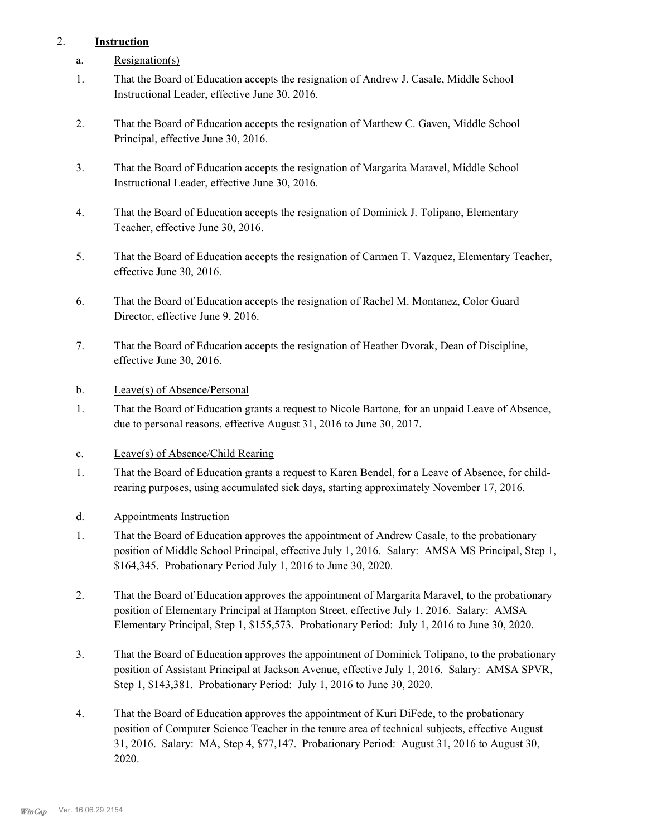# 2. **Instruction**

- a. Resignation(s)
- That the Board of Education accepts the resignation of Andrew J. Casale, Middle School Instructional Leader, effective June 30, 2016. 1.
- That the Board of Education accepts the resignation of Matthew C. Gaven, Middle School Principal, effective June 30, 2016. 2.
- That the Board of Education accepts the resignation of Margarita Maravel, Middle School Instructional Leader, effective June 30, 2016. 3.
- That the Board of Education accepts the resignation of Dominick J. Tolipano, Elementary Teacher, effective June 30, 2016. 4.
- That the Board of Education accepts the resignation of Carmen T. Vazquez, Elementary Teacher, effective June 30, 2016. 5.
- That the Board of Education accepts the resignation of Rachel M. Montanez, Color Guard Director, effective June 9, 2016. 6.
- That the Board of Education accepts the resignation of Heather Dvorak, Dean of Discipline, effective June 30, 2016. 7.
- b. Leave(s) of Absence/Personal
- That the Board of Education grants a request to Nicole Bartone, for an unpaid Leave of Absence, due to personal reasons, effective August 31, 2016 to June 30, 2017. 1.
- c. Leave(s) of Absence/Child Rearing
- That the Board of Education grants a request to Karen Bendel, for a Leave of Absence, for childrearing purposes, using accumulated sick days, starting approximately November 17, 2016. 1.
- d. Appointments Instruction
- That the Board of Education approves the appointment of Andrew Casale, to the probationary position of Middle School Principal, effective July 1, 2016. Salary: AMSA MS Principal, Step 1, \$164,345. Probationary Period July 1, 2016 to June 30, 2020. 1.
- That the Board of Education approves the appointment of Margarita Maravel, to the probationary position of Elementary Principal at Hampton Street, effective July 1, 2016. Salary: AMSA Elementary Principal, Step 1, \$155,573. Probationary Period: July 1, 2016 to June 30, 2020. 2.
- That the Board of Education approves the appointment of Dominick Tolipano, to the probationary position of Assistant Principal at Jackson Avenue, effective July 1, 2016. Salary: AMSA SPVR, Step 1, \$143,381. Probationary Period: July 1, 2016 to June 30, 2020. 3.
- That the Board of Education approves the appointment of Kuri DiFede, to the probationary position of Computer Science Teacher in the tenure area of technical subjects, effective August 31, 2016. Salary: MA, Step 4, \$77,147. Probationary Period: August 31, 2016 to August 30, 2020. 4.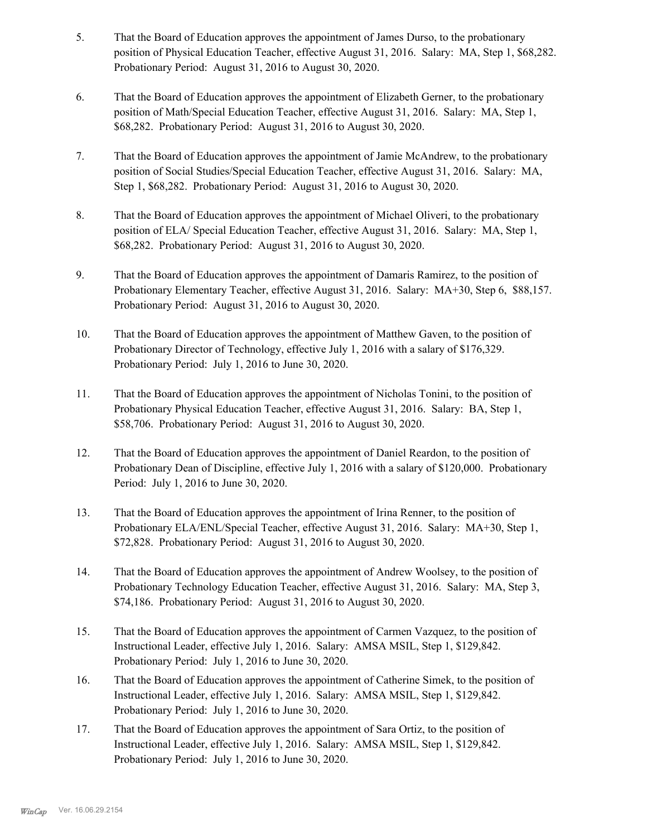- That the Board of Education approves the appointment of James Durso, to the probationary position of Physical Education Teacher, effective August 31, 2016. Salary: MA, Step 1, \$68,282. Probationary Period: August 31, 2016 to August 30, 2020. 5.
- That the Board of Education approves the appointment of Elizabeth Gerner, to the probationary position of Math/Special Education Teacher, effective August 31, 2016. Salary: MA, Step 1, \$68,282. Probationary Period: August 31, 2016 to August 30, 2020. 6.
- That the Board of Education approves the appointment of Jamie McAndrew, to the probationary position of Social Studies/Special Education Teacher, effective August 31, 2016. Salary: MA, Step 1, \$68,282. Probationary Period: August 31, 2016 to August 30, 2020. 7.
- That the Board of Education approves the appointment of Michael Oliveri, to the probationary position of ELA/ Special Education Teacher, effective August 31, 2016. Salary: MA, Step 1, \$68,282. Probationary Period: August 31, 2016 to August 30, 2020. 8.
- That the Board of Education approves the appointment of Damaris Ramirez, to the position of Probationary Elementary Teacher, effective August 31, 2016. Salary: MA+30, Step 6, \$88,157. Probationary Period: August 31, 2016 to August 30, 2020. 9.
- That the Board of Education approves the appointment of Matthew Gaven, to the position of Probationary Director of Technology, effective July 1, 2016 with a salary of \$176,329. Probationary Period: July 1, 2016 to June 30, 2020. 10.
- That the Board of Education approves the appointment of Nicholas Tonini, to the position of Probationary Physical Education Teacher, effective August 31, 2016. Salary: BA, Step 1, \$58,706. Probationary Period: August 31, 2016 to August 30, 2020. 11.
- That the Board of Education approves the appointment of Daniel Reardon, to the position of Probationary Dean of Discipline, effective July 1, 2016 with a salary of \$120,000. Probationary Period: July 1, 2016 to June 30, 2020. 12.
- That the Board of Education approves the appointment of Irina Renner, to the position of Probationary ELA/ENL/Special Teacher, effective August 31, 2016. Salary: MA+30, Step 1, \$72,828. Probationary Period: August 31, 2016 to August 30, 2020. 13.
- That the Board of Education approves the appointment of Andrew Woolsey, to the position of Probationary Technology Education Teacher, effective August 31, 2016. Salary: MA, Step 3, \$74,186. Probationary Period: August 31, 2016 to August 30, 2020. 14.
- That the Board of Education approves the appointment of Carmen Vazquez, to the position of Instructional Leader, effective July 1, 2016. Salary: AMSA MSIL, Step 1, \$129,842. Probationary Period: July 1, 2016 to June 30, 2020. 15.
- That the Board of Education approves the appointment of Catherine Simek, to the position of Instructional Leader, effective July 1, 2016. Salary: AMSA MSIL, Step 1, \$129,842. Probationary Period: July 1, 2016 to June 30, 2020. 16.
- That the Board of Education approves the appointment of Sara Ortiz, to the position of Instructional Leader, effective July 1, 2016. Salary: AMSA MSIL, Step 1, \$129,842. Probationary Period: July 1, 2016 to June 30, 2020. 17.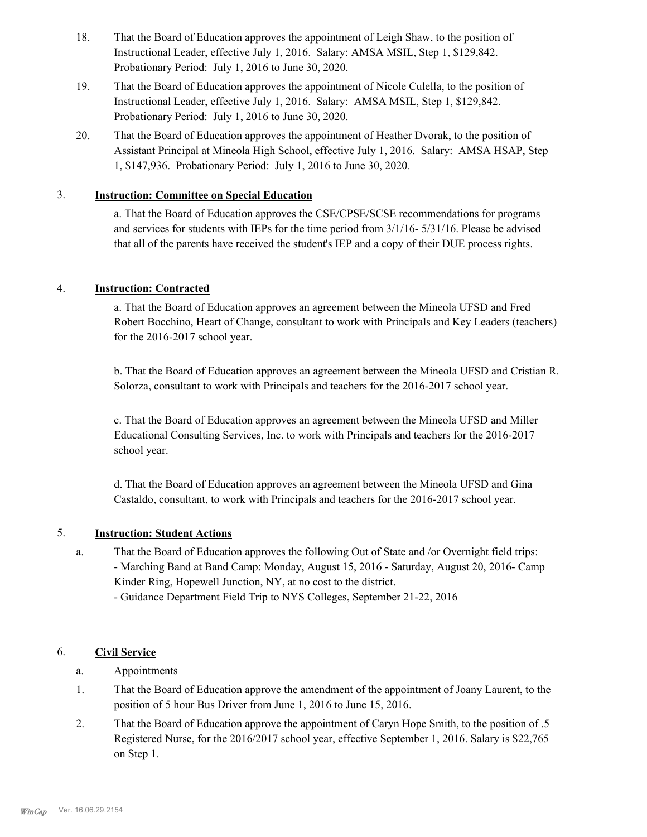- That the Board of Education approves the appointment of Leigh Shaw, to the position of Instructional Leader, effective July 1, 2016. Salary: AMSA MSIL, Step 1, \$129,842. Probationary Period: July 1, 2016 to June 30, 2020. 18.
- That the Board of Education approves the appointment of Nicole Culella, to the position of Instructional Leader, effective July 1, 2016. Salary: AMSA MSIL, Step 1, \$129,842. Probationary Period: July 1, 2016 to June 30, 2020. 19.
- That the Board of Education approves the appointment of Heather Dvorak, to the position of Assistant Principal at Mineola High School, effective July 1, 2016. Salary: AMSA HSAP, Step 1, \$147,936. Probationary Period: July 1, 2016 to June 30, 2020. 20.

# 3. **Instruction: Committee on Special Education**

a. That the Board of Education approves the CSE/CPSE/SCSE recommendations for programs and services for students with IEPs for the time period from 3/1/16- 5/31/16. Please be advised that all of the parents have received the student's IEP and a copy of their DUE process rights.

# 4. **Instruction: Contracted**

a. That the Board of Education approves an agreement between the Mineola UFSD and Fred Robert Bocchino, Heart of Change, consultant to work with Principals and Key Leaders (teachers) for the 2016-2017 school year.

b. That the Board of Education approves an agreement between the Mineola UFSD and Cristian R. Solorza, consultant to work with Principals and teachers for the 2016-2017 school year.

c. That the Board of Education approves an agreement between the Mineola UFSD and Miller Educational Consulting Services, Inc. to work with Principals and teachers for the 2016-2017 school year.

d. That the Board of Education approves an agreement between the Mineola UFSD and Gina Castaldo, consultant, to work with Principals and teachers for the 2016-2017 school year.

## 5. **Instruction: Student Actions**

- That the Board of Education approves the following Out of State and /or Overnight field trips: - Marching Band at Band Camp: Monday, August 15, 2016 - Saturday, August 20, 2016- Camp Kinder Ring, Hopewell Junction, NY, at no cost to the district. a.
	- Guidance Department Field Trip to NYS Colleges, September 21-22, 2016

# 6. **Civil Service**

- a. Appointments
- That the Board of Education approve the amendment of the appointment of Joany Laurent, to the position of 5 hour Bus Driver from June 1, 2016 to June 15, 2016. 1.
- That the Board of Education approve the appointment of Caryn Hope Smith, to the position of .5 Registered Nurse, for the 2016/2017 school year, effective September 1, 2016. Salary is \$22,765 on Step 1. 2.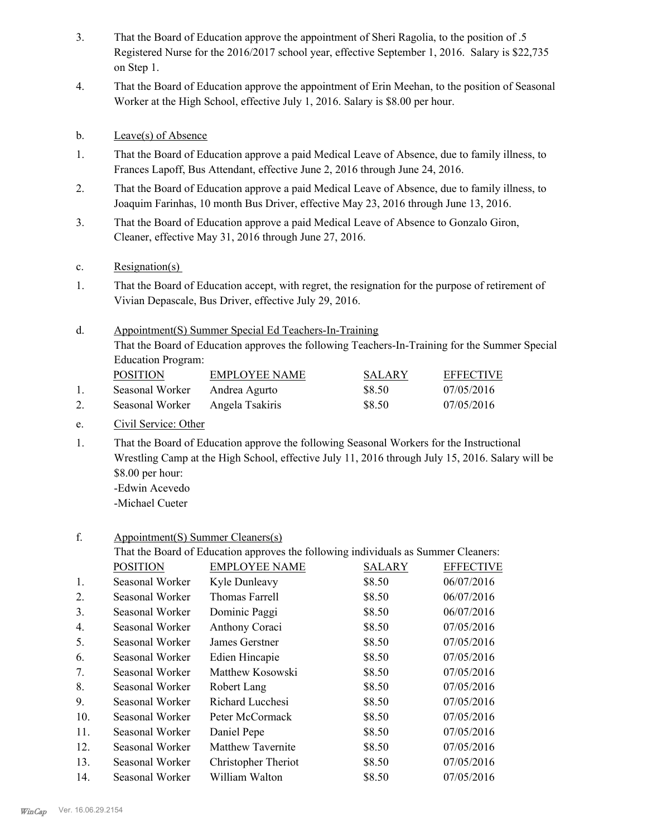- That the Board of Education approve the appointment of Sheri Ragolia, to the position of .5 Registered Nurse for the 2016/2017 school year, effective September 1, 2016. Salary is \$22,735 on Step 1. 3.
- That the Board of Education approve the appointment of Erin Meehan, to the position of Seasonal Worker at the High School, effective July 1, 2016. Salary is \$8.00 per hour. 4.
- b. Leave(s) of Absence
- That the Board of Education approve a paid Medical Leave of Absence, due to family illness, to Frances Lapoff, Bus Attendant, effective June 2, 2016 through June 24, 2016. 1.
- That the Board of Education approve a paid Medical Leave of Absence, due to family illness, to Joaquim Farinhas, 10 month Bus Driver, effective May 23, 2016 through June 13, 2016. 2.
- That the Board of Education approve a paid Medical Leave of Absence to Gonzalo Giron, Cleaner, effective May 31, 2016 through June 27, 2016. 3.
- c. Resignation(s)
- That the Board of Education accept, with regret, the resignation for the purpose of retirement of Vivian Depascale, Bus Driver, effective July 29, 2016. 1.
- Appointment(S) Summer Special Ed Teachers-In-Training That the Board of Education approves the following Teachers-In-Training for the Summer Special Education Program: d. **POSITION EMPLOYEE NAME SALARY EFFECTIVE**

| <b>PUSITIUN</b> | EMPLOYEE NAME   | SALAR Y | <b>EFFECTIVE</b> |
|-----------------|-----------------|---------|------------------|
| Seasonal Worker | Andrea Agurto   | \$8.50  | 07/05/2016       |
| Seasonal Worker | Angela Tsakiris | \$8.50  | 07/05/2016       |

- e. Civil Service: Other
- That the Board of Education approve the following Seasonal Workers for the Instructional Wrestling Camp at the High School, effective July 11, 2016 through July 15, 2016. Salary will be \$8.00 per hour: -Edwin Acevedo 1.

-Michael Cueter

#### Appointment(S) Summer Cleaners(s) f.

That the Board of Education approves the following individuals as Summer Cleaners: POSITION EMPLOYEE NAME SALARY EFFECTIVE 1. Seasonal Worker Kyle Dunleavy \$8.50 06/07/2016 2. Seasonal Worker Thomas Farrell \$8.50 06/07/2016 3. Seasonal Worker Dominic Paggi \$8.50 06/07/2016 4. Seasonal Worker Anthony Coraci \$8.50 07/05/2016 5. Seasonal Worker James Gerstner \$8.50 07/05/2016 6. Seasonal Worker Edien Hincapie \$8.50 07/05/2016 7. Seasonal Worker Matthew Kosowski \$8.50 07/05/2016 8. Seasonal Worker Robert Lang \$8.50 07/05/2016 9. Seasonal Worker Richard Lucchesi \$8.50 07/05/2016 10. Seasonal Worker Peter McCormack \$8.50 07/05/2016 11. Seasonal Worker Daniel Pepe \$8.50 07/05/2016 12. Seasonal Worker Matthew Tavernite \$8.50 07/05/2016 13. Seasonal Worker Christopher Theriot \$8.50 07/05/2016 14. Seasonal Worker William Walton \$8.50 07/05/2016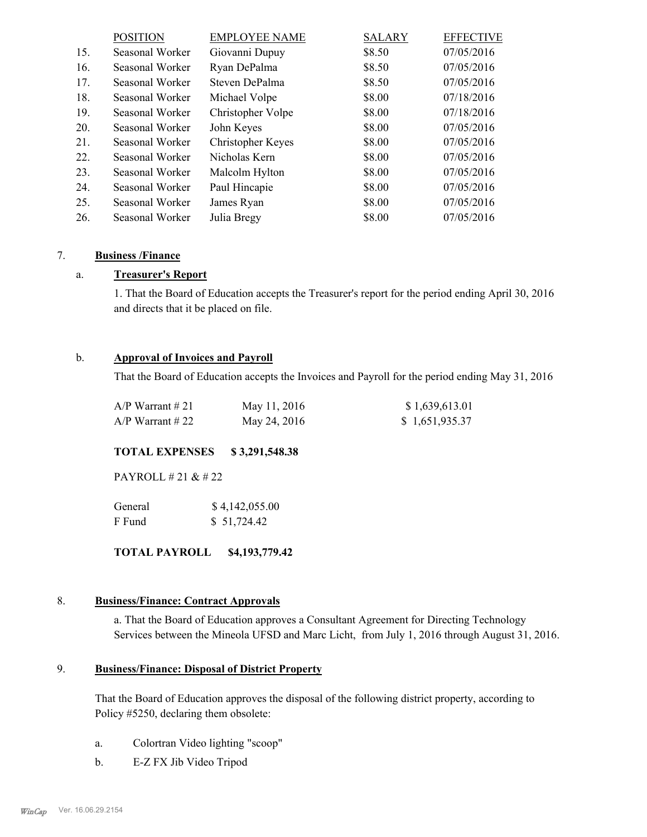|     | <b>POSITION</b> | <b>EMPLOYEE NAME</b>     | <b>SALARY</b> | <b>EFFECTIVE</b> |
|-----|-----------------|--------------------------|---------------|------------------|
| 15. | Seasonal Worker | Giovanni Dupuy           | \$8.50        | 07/05/2016       |
| 16. | Seasonal Worker | Ryan DePalma             | \$8.50        | 07/05/2016       |
| 17. | Seasonal Worker | Steven DePalma           | \$8.50        | 07/05/2016       |
| 18. | Seasonal Worker | Michael Volpe            | \$8.00        | 07/18/2016       |
| 19. | Seasonal Worker | Christopher Volpe        | \$8.00        | 07/18/2016       |
| 20. | Seasonal Worker | John Keyes               | \$8.00        | 07/05/2016       |
| 21. | Seasonal Worker | <b>Christopher Keyes</b> | \$8.00        | 07/05/2016       |
| 22. | Seasonal Worker | Nicholas Kern            | \$8.00        | 07/05/2016       |
| 23. | Seasonal Worker | Malcolm Hylton           | \$8.00        | 07/05/2016       |
| 24. | Seasonal Worker | Paul Hincapie            | \$8.00        | 07/05/2016       |
| 25. | Seasonal Worker | James Ryan               | \$8.00        | 07/05/2016       |
| 26. | Seasonal Worker | Julia Bregy              | \$8.00        | 07/05/2016       |

#### 7. **Business /Finance**

#### a. **Treasurer's Report**

1. That the Board of Education accepts the Treasurer's report for the period ending April 30, 2016 and directs that it be placed on file.

#### b. **Approval of Invoices and Payroll**

That the Board of Education accepts the Invoices and Payroll for the period ending May 31, 2016

| $A/P$ Warrant # 21 | May 11, 2016 | \$1,639,613.01 |
|--------------------|--------------|----------------|
| $A/P$ Warrant # 22 | May 24, 2016 | \$1,651,935.37 |

#### **TOTAL EXPENSES \$ 3,291,548.38**

PAYROLL # 21 & # 22

| General | \$4,142,055.00 |
|---------|----------------|
| F Fund  | \$51,724.42    |

**TOTAL PAYROLL \$4,193,779.42**

#### 8. **Business/Finance: Contract Approvals**

a. That the Board of Education approves a Consultant Agreement for Directing Technology Services between the Mineola UFSD and Marc Licht, from July 1, 2016 through August 31, 2016.

#### **Business/Finance: Disposal of District Property** 9.

That the Board of Education approves the disposal of the following district property, according to Policy #5250, declaring them obsolete:

- a. Colortran Video lighting "scoop"
- b. E-Z FX Jib Video Tripod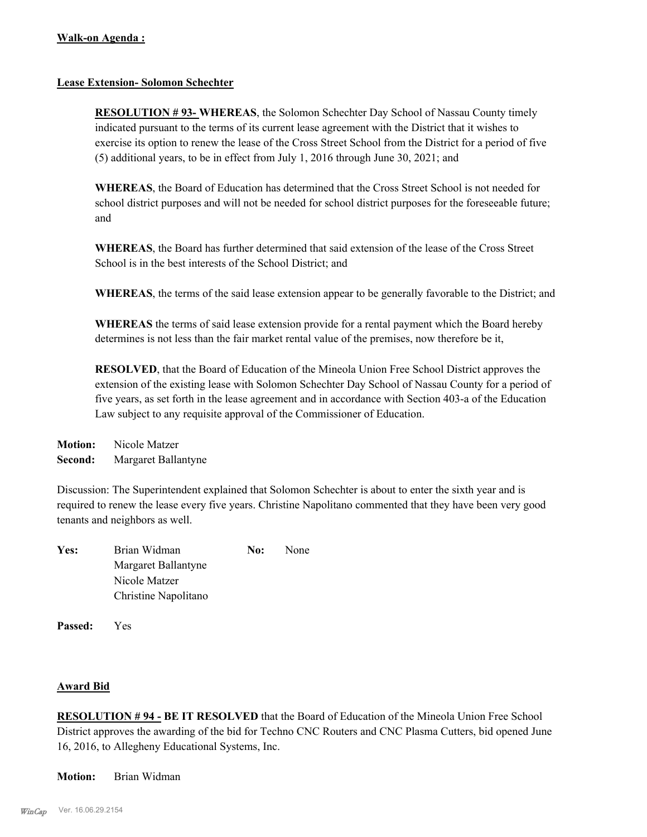#### **Lease Extension- Solomon Schechter**

**RESOLUTION # 93- WHEREAS**, the Solomon Schechter Day School of Nassau County timely indicated pursuant to the terms of its current lease agreement with the District that it wishes to exercise its option to renew the lease of the Cross Street School from the District for a period of five (5) additional years, to be in effect from July 1, 2016 through June 30, 2021; and

**WHEREAS**, the Board of Education has determined that the Cross Street School is not needed for school district purposes and will not be needed for school district purposes for the foreseeable future; and

**WHEREAS**, the Board has further determined that said extension of the lease of the Cross Street School is in the best interests of the School District; and

**WHEREAS**, the terms of the said lease extension appear to be generally favorable to the District; and

**WHEREAS** the terms of said lease extension provide for a rental payment which the Board hereby determines is not less than the fair market rental value of the premises, now therefore be it,

**RESOLVED**, that the Board of Education of the Mineola Union Free School District approves the extension of the existing lease with Solomon Schechter Day School of Nassau County for a period of five years, as set forth in the lease agreement and in accordance with Section 403-a of the Education Law subject to any requisite approval of the Commissioner of Education.

**Motion:** Nicole Matzer **Second:** Margaret Ballantyne

Discussion: The Superintendent explained that Solomon Schechter is about to enter the sixth year and is required to renew the lease every five years. Christine Napolitano commented that they have been very good tenants and neighbors as well.

| Yes: | Brian Widman         | No: | None |
|------|----------------------|-----|------|
|      | Margaret Ballantyne  |     |      |
|      | Nicole Matzer        |     |      |
|      | Christine Napolitano |     |      |

**Passed:** Yes

## **Award Bid**

**RESOLUTION # 94 - BE IT RESOLVED** that the Board of Education of the Mineola Union Free School District approves the awarding of the bid for Techno CNC Routers and CNC Plasma Cutters, bid opened June 16, 2016, to Allegheny Educational Systems, Inc.

**Motion:** Brian Widman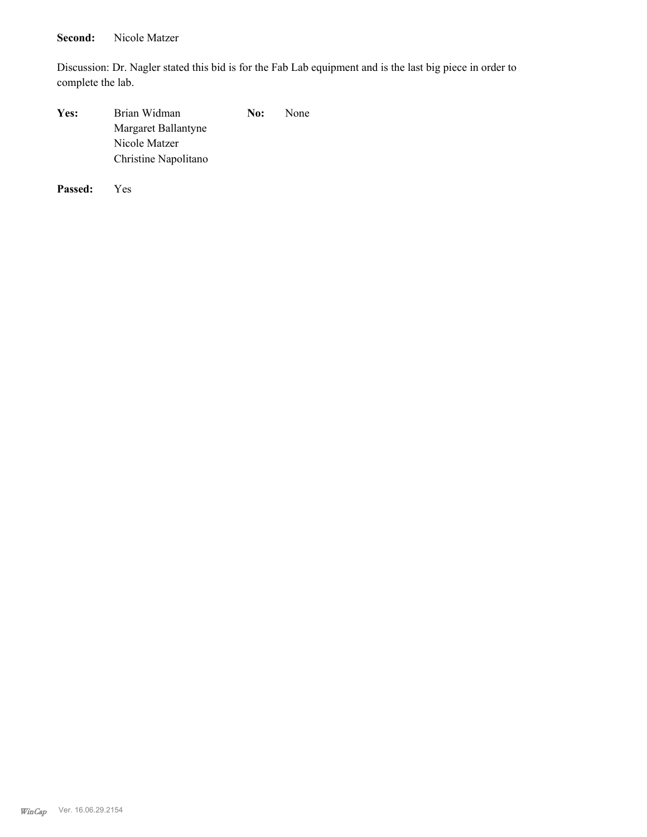# Second: Nicole Matzer

Discussion: Dr. Nagler stated this bid is for the Fab Lab equipment and is the last big piece in order to complete the lab.

| Yes: | Brian Widman         | No: | None |
|------|----------------------|-----|------|
|      | Margaret Ballantyne  |     |      |
|      | Nicole Matzer        |     |      |
|      | Christine Napolitano |     |      |
|      |                      |     |      |

**Passed:** Yes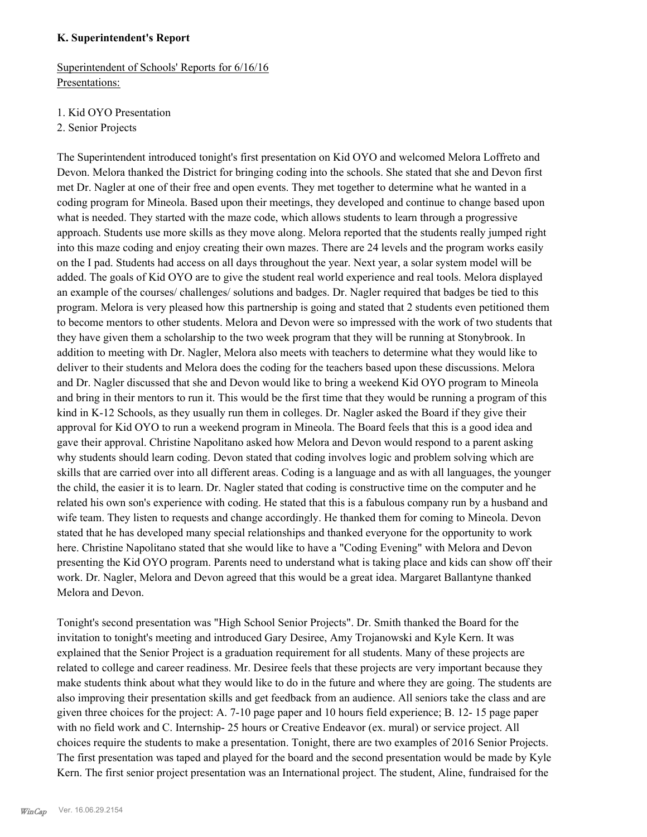#### **K. Superintendent's Report**

Superintendent of Schools' Reports for 6/16/16 Presentations:

- 1. Kid OYO Presentation
- 2. Senior Projects

The Superintendent introduced tonight's first presentation on Kid OYO and welcomed Melora Loffreto and Devon. Melora thanked the District for bringing coding into the schools. She stated that she and Devon first met Dr. Nagler at one of their free and open events. They met together to determine what he wanted in a coding program for Mineola. Based upon their meetings, they developed and continue to change based upon what is needed. They started with the maze code, which allows students to learn through a progressive approach. Students use more skills as they move along. Melora reported that the students really jumped right into this maze coding and enjoy creating their own mazes. There are 24 levels and the program works easily on the I pad. Students had access on all days throughout the year. Next year, a solar system model will be added. The goals of Kid OYO are to give the student real world experience and real tools. Melora displayed an example of the courses/ challenges/ solutions and badges. Dr. Nagler required that badges be tied to this program. Melora is very pleased how this partnership is going and stated that 2 students even petitioned them to become mentors to other students. Melora and Devon were so impressed with the work of two students that they have given them a scholarship to the two week program that they will be running at Stonybrook. In addition to meeting with Dr. Nagler, Melora also meets with teachers to determine what they would like to deliver to their students and Melora does the coding for the teachers based upon these discussions. Melora and Dr. Nagler discussed that she and Devon would like to bring a weekend Kid OYO program to Mineola and bring in their mentors to run it. This would be the first time that they would be running a program of this kind in K-12 Schools, as they usually run them in colleges. Dr. Nagler asked the Board if they give their approval for Kid OYO to run a weekend program in Mineola. The Board feels that this is a good idea and gave their approval. Christine Napolitano asked how Melora and Devon would respond to a parent asking why students should learn coding. Devon stated that coding involves logic and problem solving which are skills that are carried over into all different areas. Coding is a language and as with all languages, the younger the child, the easier it is to learn. Dr. Nagler stated that coding is constructive time on the computer and he related his own son's experience with coding. He stated that this is a fabulous company run by a husband and wife team. They listen to requests and change accordingly. He thanked them for coming to Mineola. Devon stated that he has developed many special relationships and thanked everyone for the opportunity to work here. Christine Napolitano stated that she would like to have a "Coding Evening" with Melora and Devon presenting the Kid OYO program. Parents need to understand what is taking place and kids can show off their work. Dr. Nagler, Melora and Devon agreed that this would be a great idea. Margaret Ballantyne thanked Melora and Devon.

Tonight's second presentation was "High School Senior Projects". Dr. Smith thanked the Board for the invitation to tonight's meeting and introduced Gary Desiree, Amy Trojanowski and Kyle Kern. It was explained that the Senior Project is a graduation requirement for all students. Many of these projects are related to college and career readiness. Mr. Desiree feels that these projects are very important because they make students think about what they would like to do in the future and where they are going. The students are also improving their presentation skills and get feedback from an audience. All seniors take the class and are given three choices for the project: A. 7-10 page paper and 10 hours field experience; B. 12- 15 page paper with no field work and C. Internship- 25 hours or Creative Endeavor (ex. mural) or service project. All choices require the students to make a presentation. Tonight, there are two examples of 2016 Senior Projects. The first presentation was taped and played for the board and the second presentation would be made by Kyle Kern. The first senior project presentation was an International project. The student, Aline, fundraised for the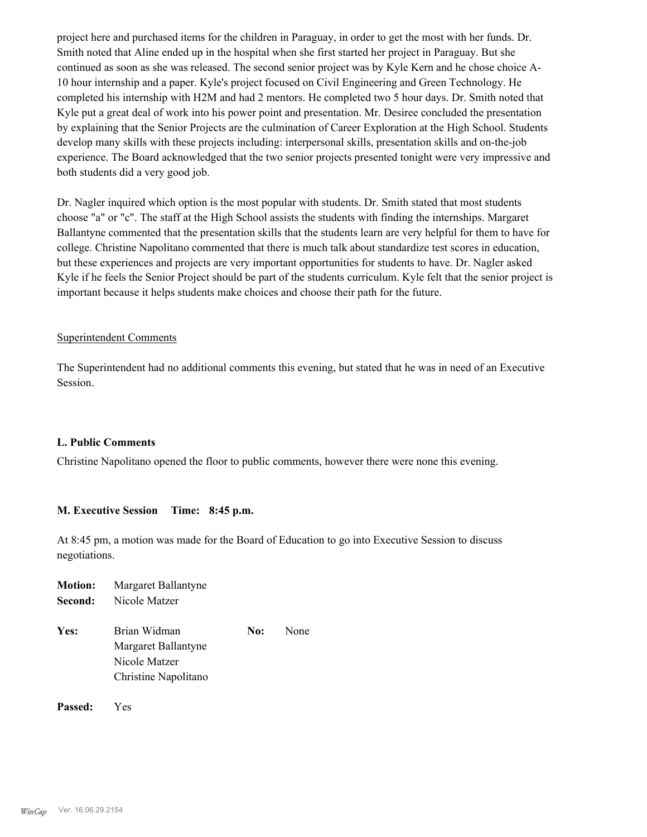project here and purchased items for the children in Paraguay, in order to get the most with her funds. Dr. Smith noted that Aline ended up in the hospital when she first started her project in Paraguay. But she continued as soon as she was released. The second senior project was by Kyle Kern and he chose choice A-10 hour internship and a paper. Kyle's project focused on Civil Engineering and Green Technology. He completed his internship with H2M and had 2 mentors. He completed two 5 hour days. Dr. Smith noted that Kyle put a great deal of work into his power point and presentation. Mr. Desiree concluded the presentation by explaining that the Senior Projects are the culmination of Career Exploration at the High School. Students develop many skills with these projects including: interpersonal skills, presentation skills and on-the-job experience. The Board acknowledged that the two senior projects presented tonight were very impressive and both students did a very good job.

Dr. Nagler inquired which option is the most popular with students. Dr. Smith stated that most students choose "a" or "c". The staff at the High School assists the students with finding the internships. Margaret Ballantyne commented that the presentation skills that the students learn are very helpful for them to have for college. Christine Napolitano commented that there is much talk about standardize test scores in education, but these experiences and projects are very important opportunities for students to have. Dr. Nagler asked Kyle if he feels the Senior Project should be part of the students curriculum. Kyle felt that the senior project is important because it helps students make choices and choose their path for the future.

#### Superintendent Comments

The Superintendent had no additional comments this evening, but stated that he was in need of an Executive Session.

#### **L. Public Comments**

Christine Napolitano opened the floor to public comments, however there were none this evening.

#### **M. Executive Session Time: 8:45 p.m.**

At 8:45 pm, a motion was made for the Board of Education to go into Executive Session to discuss negotiations.

| <b>Motion:</b> | Margaret Ballantyne  |     |      |
|----------------|----------------------|-----|------|
| Second:        | Nicole Matzer        |     |      |
| Yes:           | Brian Widman         | No: | None |
|                |                      |     |      |
|                | Margaret Ballantyne  |     |      |
|                | Nicole Matzer        |     |      |
|                | Christine Napolitano |     |      |
|                |                      |     |      |
|                |                      |     |      |

**Passed:** Yes